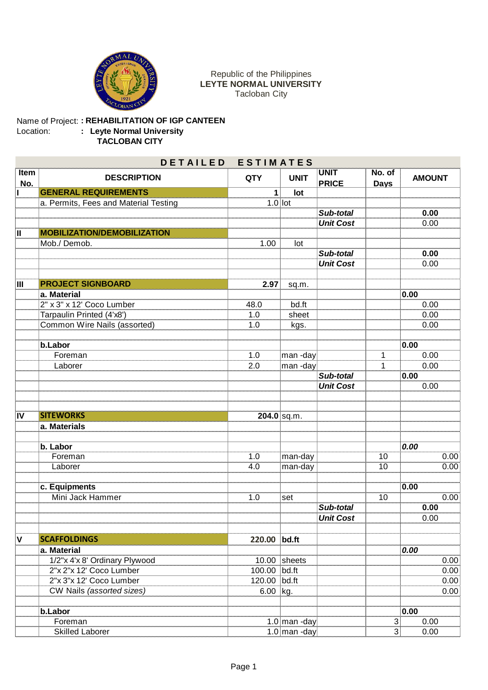

## Republic of the Philippines **LEYTE NORMAL UNIVERSITY** Tacloban City

## Name of Project: Location: **: REHABILITATION OF IGP CANTEEN : Leyte Normal University TACLOBAN CITY**

| DETAILED ESTIMATES |                                       |              |                |                             |                       |               |
|--------------------|---------------------------------------|--------------|----------------|-----------------------------|-----------------------|---------------|
| Item<br>No.        | <b>DESCRIPTION</b>                    | <b>QTY</b>   | <b>UNIT</b>    | <b>UNIT</b><br><b>PRICE</b> | No. of<br><b>Days</b> | <b>AMOUNT</b> |
|                    | <b>GENERAL REQUIREMENTS</b>           | 1            | lot            |                             |                       |               |
|                    | a. Permits, Fees and Material Testing | $1.0$ lot    |                |                             |                       |               |
|                    |                                       |              |                | Sub-total                   |                       | 0.00          |
|                    |                                       |              |                | <b>Unit Cost</b>            |                       | 0.00          |
| Ш                  | <b>MOBILIZATION/DEMOBILIZATION</b>    |              |                |                             |                       |               |
|                    | Mob./ Demob.                          | 1.00         | lot            |                             |                       |               |
|                    |                                       |              |                | Sub-total                   |                       | 0.00          |
|                    |                                       |              |                | <b>Unit Cost</b>            |                       | 0.00          |
| IШ                 | <b>PROJECT SIGNBOARD</b>              | 2.97         | sq.m.          |                             |                       |               |
|                    | a. Material                           |              |                |                             |                       | 0.00          |
|                    | 2" x 3" x 12' Coco Lumber             | 48.0         | bd.ft          |                             |                       | 0.00          |
|                    | Tarpaulin Printed (4'x8')             | 1.0          | sheet          |                             |                       | 0.00          |
|                    | Common Wire Nails (assorted)          | 1.0          | kgs.           |                             |                       | 0.00          |
|                    |                                       |              |                |                             |                       |               |
|                    | b.Labor                               |              |                |                             |                       | 0.00          |
|                    | Foreman                               | $1.0$        | man-day        |                             | 1                     | 0.00          |
|                    | Laborer                               | 2.0          | man-day        |                             | 1                     | 0.00          |
|                    |                                       |              |                | Sub-total                   |                       | 0.00          |
|                    |                                       |              |                | <b>Unit Cost</b>            |                       | 0.00          |
| $\overline{IV}$    | <b>SITEWORKS</b>                      |              | 204.0 sq.m.    |                             |                       |               |
|                    | a. Materials                          |              |                |                             |                       |               |
|                    |                                       |              |                |                             |                       |               |
|                    | b. Labor                              |              |                |                             |                       | 0.00          |
|                    | Foreman                               | 1.0          | man-day        |                             | 10                    | 0.00          |
|                    | Laborer                               | 4.0          | man-day        |                             | 10                    | 0.00          |
|                    | c. Equipments                         |              |                |                             |                       | 0.00          |
|                    | Mini Jack Hammer                      | 1.0          | set            |                             | 10                    | 0.00          |
|                    |                                       |              |                | Sub-total                   |                       | 0.00          |
|                    |                                       |              |                | <b>Unit Cost</b>            |                       | 0.00          |
| $\mathsf{v}$       | <b>SCAFFOLDINGS</b>                   | 220.00 bd.ft |                |                             |                       |               |
|                    | a. Material                           |              |                |                             |                       | 0.00          |
|                    | 1/2"x 4'x 8' Ordinary Plywood         |              | $10.00$ sheets |                             |                       | 0.00          |
|                    | 2"x 2"x 12' Coco Lumber               | 100.00 bd.ft |                |                             |                       | 0.00          |
|                    | 2"x 3"x 12' Coco Lumber               | 120.00 bd.ft |                |                             |                       | 0.00          |
|                    | CW Nails (assorted sizes)             | $6.00$ kg.   |                |                             |                       | 0.00          |
|                    |                                       |              |                |                             |                       |               |
|                    | b.Labor                               |              |                |                             |                       | 0.00          |
|                    | Foreman                               |              | 1.0 man -day   |                             | $\sqrt{3}$            | 0.00          |
|                    | <b>Skilled Laborer</b>                |              | 1.0 man -day   |                             | 3 <sup>1</sup>        | 0.00          |